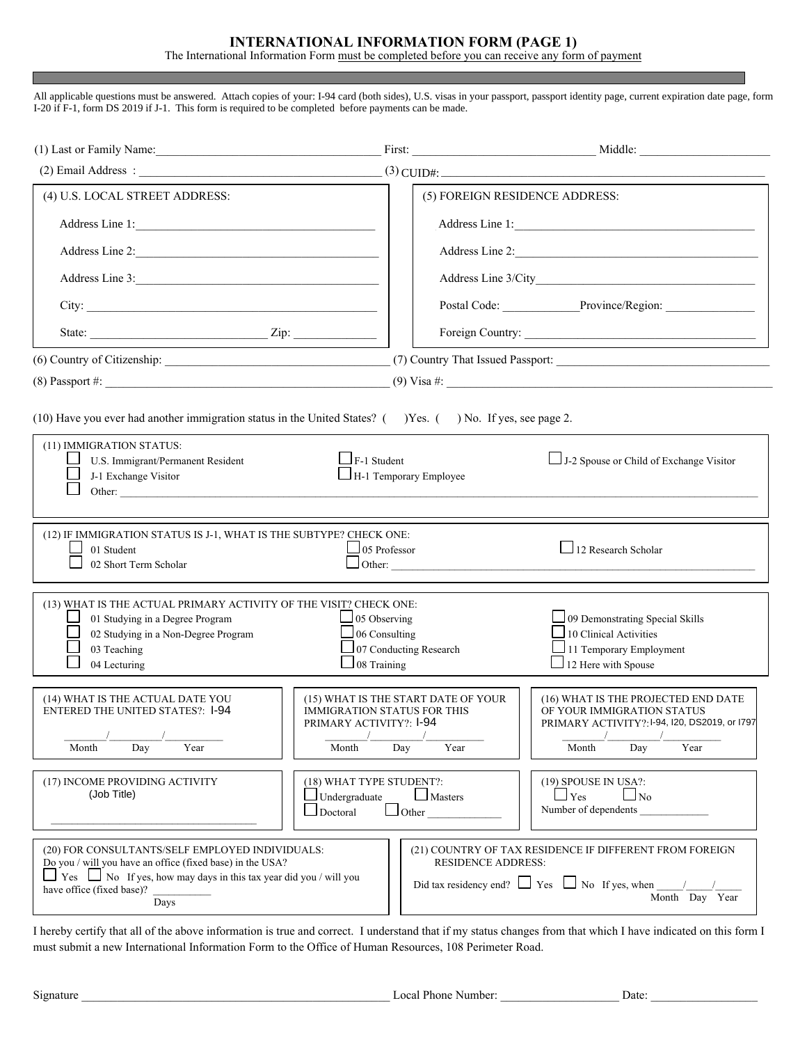## **INTERNATIONAL INFORMATION FORM (PAGE 1)**

The International Information Form must be completed before you can receive any form of payment

All applicable questions must be answered. Attach copies of your: I-94 card (both sides), U.S. visas in your passport, passport identity page, current expiration date page, form I-20 if F-1, form DS 2019 if J-1. This form is required to be completed before payments can be made.

|                                                                                                                                                                                                                                                                                                                                                                                                          | First:                                                                                                                       | <u> 1989 - Johann Stoff, fransk politik (d. 1989)</u>                                                                                      |  |  |  |
|----------------------------------------------------------------------------------------------------------------------------------------------------------------------------------------------------------------------------------------------------------------------------------------------------------------------------------------------------------------------------------------------------------|------------------------------------------------------------------------------------------------------------------------------|--------------------------------------------------------------------------------------------------------------------------------------------|--|--|--|
|                                                                                                                                                                                                                                                                                                                                                                                                          |                                                                                                                              | $(3)$ CUID#:                                                                                                                               |  |  |  |
| (4) U.S. LOCAL STREET ADDRESS:                                                                                                                                                                                                                                                                                                                                                                           |                                                                                                                              | (5) FOREIGN RESIDENCE ADDRESS:                                                                                                             |  |  |  |
| Address Line 1:                                                                                                                                                                                                                                                                                                                                                                                          |                                                                                                                              | Address Line 1:                                                                                                                            |  |  |  |
| Address Line 2:                                                                                                                                                                                                                                                                                                                                                                                          |                                                                                                                              | Address Line 2:                                                                                                                            |  |  |  |
| Address Line 3:                                                                                                                                                                                                                                                                                                                                                                                          |                                                                                                                              |                                                                                                                                            |  |  |  |
|                                                                                                                                                                                                                                                                                                                                                                                                          |                                                                                                                              | Postal Code: Province/Region:                                                                                                              |  |  |  |
|                                                                                                                                                                                                                                                                                                                                                                                                          |                                                                                                                              |                                                                                                                                            |  |  |  |
|                                                                                                                                                                                                                                                                                                                                                                                                          |                                                                                                                              |                                                                                                                                            |  |  |  |
|                                                                                                                                                                                                                                                                                                                                                                                                          |                                                                                                                              |                                                                                                                                            |  |  |  |
| (10) Have you ever had another immigration status in the United States? () Yes. () No. If yes, see page 2.<br>(11) IMMIGRATION STATUS:<br>F-1 Student<br>J-2 Spouse or Child of Exchange Visitor<br>U.S. Immigrant/Permanent Resident<br>H-1 Temporary Employee<br>J-1 Exchange Visitor<br>Other:                                                                                                        |                                                                                                                              |                                                                                                                                            |  |  |  |
| (12) IF IMMIGRATION STATUS IS J-1, WHAT IS THE SUBTYPE? CHECK ONE:<br>01 Student<br>02 Short Term Scholar                                                                                                                                                                                                                                                                                                | 05 Professor                                                                                                                 | $\Box$ 12 Research Scholar<br>$\Box$ Other:                                                                                                |  |  |  |
| (13) WHAT IS THE ACTUAL PRIMARY ACTIVITY OF THE VISIT? CHECK ONE:<br>01 Studying in a Degree Program<br>02 Studying in a Non-Degree Program<br>03 Teaching<br>04 Lecturing                                                                                                                                                                                                                               | 05 Observing<br>06 Consulting<br>07 Conducting Research<br>08 Training                                                       | 109 Demonstrating Special Skills<br>10 Clinical Activities<br>11 Temporary Employment<br>$\Box$ 12 Here with Spouse                        |  |  |  |
| (14) WHAT IS THE ACTUAL DATE YOU<br><b>ENTERED THE UNITED STATES?: 1-94</b><br>$\mathbf{r}$<br>Month<br>Day<br>Year                                                                                                                                                                                                                                                                                      | (15) WHAT IS THE START DATE OF YOUR<br><b>IMMIGRATION STATUS FOR THIS</b><br>PRIMARY ACTIVITY?: I-94<br>Year<br>Month<br>Day | (16) WHAT IS THE PROJECTED END DATE<br>OF YOUR IMMIGRATION STATUS<br>PRIMARY ACTIVITY?: 1-94, 120, DS2019, or 1797<br>Year<br>Month<br>Day |  |  |  |
| (17) INCOME PROVIDING ACTIVITY<br>(Job Title)                                                                                                                                                                                                                                                                                                                                                            | (18) WHAT TYPE STUDENT?:<br>$\Box$ Undergraduate<br>$\Box$ Masters<br>$\Box$ Doctoral<br>$\Box$ Other                        | (19) SPOUSE IN USA?:<br>$\Box$ Yes<br>$\Box$ No<br>Number of dependents                                                                    |  |  |  |
| (20) FOR CONSULTANTS/SELF EMPLOYED INDIVIDUALS:<br>(21) COUNTRY OF TAX RESIDENCE IF DIFFERENT FROM FOREIGN<br>Do you / will you have an office (fixed base) in the USA?<br><b>RESIDENCE ADDRESS:</b><br>$\Box$ Yes $\Box$ No If yes, how may days in this tax year did you / will you<br>Did tax residency end? $\Box$ Yes $\Box$ No If yes, when<br>have office (fixed base)?<br>Month Day Year<br>Days |                                                                                                                              |                                                                                                                                            |  |  |  |

I hereby certify that all of the above information is true and correct. I understand that if my status changes from that which I have indicated on this form I must submit a new International Information Form to the Office of Human Resources, 108 Perimeter Road.